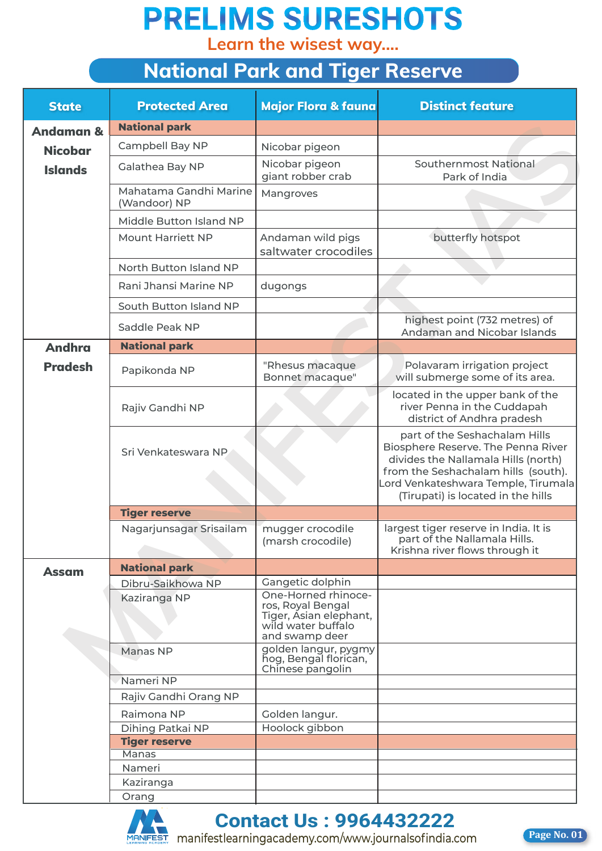**Learn the wisest way....**

| <b>National Park and Tiger Reserve</b> |                                        |                                                                                                            |                                                                                                                                                                                                                                |  |  |  |  |  |
|----------------------------------------|----------------------------------------|------------------------------------------------------------------------------------------------------------|--------------------------------------------------------------------------------------------------------------------------------------------------------------------------------------------------------------------------------|--|--|--|--|--|
| <b>State</b>                           | <b>Protected Area</b>                  | <b>Major Flora &amp; fauna</b>                                                                             | <b>Distinct feature</b>                                                                                                                                                                                                        |  |  |  |  |  |
| <b>Andaman &amp;</b>                   | <b>National park</b>                   |                                                                                                            |                                                                                                                                                                                                                                |  |  |  |  |  |
| <b>Nicobar</b>                         | Campbell Bay NP                        | Nicobar pigeon                                                                                             |                                                                                                                                                                                                                                |  |  |  |  |  |
| <b>Islands</b>                         | Galathea Bay NP                        | Nicobar pigeon<br>giant robber crab                                                                        | Southernmost National<br>Park of India                                                                                                                                                                                         |  |  |  |  |  |
|                                        | Mahatama Gandhi Marine<br>(Wandoor) NP | Mangroves                                                                                                  |                                                                                                                                                                                                                                |  |  |  |  |  |
|                                        | Middle Button Island NP                |                                                                                                            |                                                                                                                                                                                                                                |  |  |  |  |  |
|                                        | <b>Mount Harriett NP</b>               | Andaman wild pigs<br>saltwater crocodiles                                                                  | butterfly hotspot                                                                                                                                                                                                              |  |  |  |  |  |
|                                        | North Button Island NP                 |                                                                                                            |                                                                                                                                                                                                                                |  |  |  |  |  |
|                                        | Rani Jhansi Marine NP                  | dugongs                                                                                                    |                                                                                                                                                                                                                                |  |  |  |  |  |
|                                        | South Button Island NP                 |                                                                                                            |                                                                                                                                                                                                                                |  |  |  |  |  |
|                                        | Saddle Peak NP                         |                                                                                                            | highest point (732 metres) of<br>Andaman and Nicobar Islands                                                                                                                                                                   |  |  |  |  |  |
| <b>Andhra</b>                          | <b>National park</b>                   |                                                                                                            |                                                                                                                                                                                                                                |  |  |  |  |  |
| <b>Pradesh</b>                         | Papikonda NP                           | "Rhesus macaque<br>Bonnet macaque"                                                                         | Polavaram irrigation project<br>will submerge some of its area.                                                                                                                                                                |  |  |  |  |  |
|                                        | Rajiv Gandhi NP                        |                                                                                                            | located in the upper bank of the<br>river Penna in the Cuddapah<br>district of Andhra pradesh                                                                                                                                  |  |  |  |  |  |
|                                        | Sri Venkateswara NP                    |                                                                                                            | part of the Seshachalam Hills<br>Biosphere Reserve. The Penna River<br>divides the Nallamala Hills (north)<br>from the Seshachalam hills (south).<br>Lord Venkateshwara Temple, Tirumala<br>(Tirupati) is located in the hills |  |  |  |  |  |
|                                        | <b>Tiger reserve</b>                   |                                                                                                            |                                                                                                                                                                                                                                |  |  |  |  |  |
|                                        | Nagarjunsagar Srisailam                | mugger crocodile<br>(marsh crocodile)                                                                      | largest tiger reserve in India. It is<br>part of the Nallamala Hills.<br>Krishna river flows through it                                                                                                                        |  |  |  |  |  |
| <b>Assam</b>                           | <b>National park</b>                   |                                                                                                            |                                                                                                                                                                                                                                |  |  |  |  |  |
|                                        | Dibru-Saikhowa NP                      | Gangetic dolphin                                                                                           |                                                                                                                                                                                                                                |  |  |  |  |  |
|                                        | Kaziranga NP                           | One-Horned rhinoce-<br>ros, Royal Bengal<br>Tiger, Asian elephant,<br>wild water buffalo<br>and swamp deer |                                                                                                                                                                                                                                |  |  |  |  |  |
|                                        | Manas NP                               | golden langur, pygmy<br>hog, Bengal florican,<br>Chinese pangolin                                          |                                                                                                                                                                                                                                |  |  |  |  |  |
|                                        | Nameri NP                              |                                                                                                            |                                                                                                                                                                                                                                |  |  |  |  |  |
|                                        | Rajiv Gandhi Orang NP                  |                                                                                                            |                                                                                                                                                                                                                                |  |  |  |  |  |
|                                        | Raimona NP                             | Golden langur.                                                                                             |                                                                                                                                                                                                                                |  |  |  |  |  |
|                                        | Dihing Patkai NP                       | Hoolock gibbon                                                                                             |                                                                                                                                                                                                                                |  |  |  |  |  |
|                                        | <b>Tiger reserve</b><br><b>Manas</b>   |                                                                                                            |                                                                                                                                                                                                                                |  |  |  |  |  |
|                                        | Nameri                                 |                                                                                                            |                                                                                                                                                                                                                                |  |  |  |  |  |
|                                        | Kaziranga                              |                                                                                                            |                                                                                                                                                                                                                                |  |  |  |  |  |
|                                        | Orang                                  |                                                                                                            |                                                                                                                                                                                                                                |  |  |  |  |  |



**Contact Us : 9964432222 Contact Us : 9964432222**

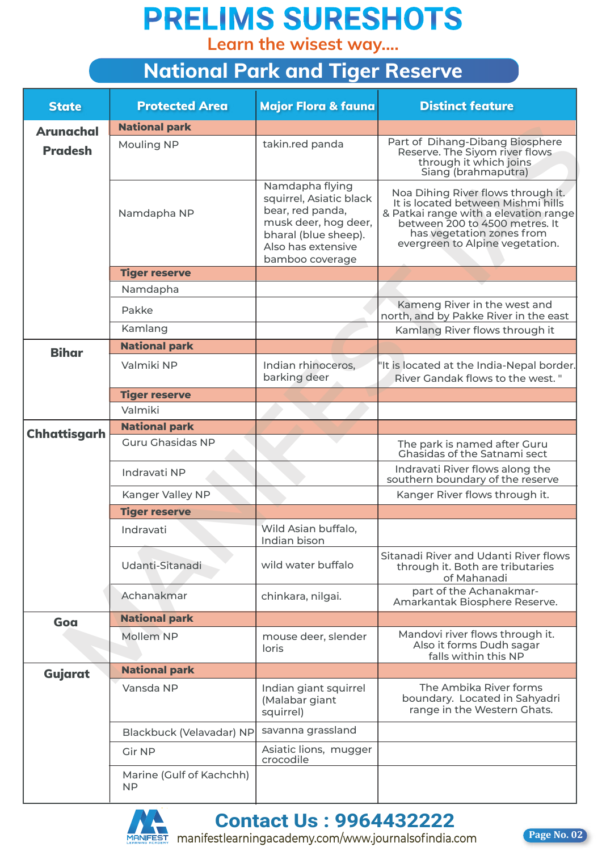**Learn the wisest way....**

#### **National Park and Tiger Reserve**

| <b>State</b>        | <b>Protected Area</b>                 | Major Flora & fauna                                                                                                                                     | <b>Distinct feature</b>                                                                                                                                                                                             |
|---------------------|---------------------------------------|---------------------------------------------------------------------------------------------------------------------------------------------------------|---------------------------------------------------------------------------------------------------------------------------------------------------------------------------------------------------------------------|
| <b>Arunachal</b>    | <b>National park</b>                  |                                                                                                                                                         |                                                                                                                                                                                                                     |
| <b>Pradesh</b>      | <b>Mouling NP</b>                     | takin.red panda                                                                                                                                         | Part of Dihang-Dibang Biosphere<br>Reserve. The Siyom river flows<br>through it which joins<br>Siang (brahmaputra)                                                                                                  |
|                     | Namdapha NP                           | Namdapha flying<br>squirrel, Asiatic black<br>bear, red panda,<br>musk deer, hog deer,<br>bharal (blue sheep).<br>Also has extensive<br>bamboo coverage | Noa Dihing River flows through it.<br>It is located between Mishmi hills<br>& Patkai range with a elevation range<br>between 200 to 4500 metres. It<br>has vegetation zones from<br>evergreen to Alpine vegetation. |
|                     | <b>Tiger reserve</b>                  |                                                                                                                                                         |                                                                                                                                                                                                                     |
|                     | Namdapha                              |                                                                                                                                                         |                                                                                                                                                                                                                     |
|                     | Pakke                                 |                                                                                                                                                         | Kameng River in the west and<br>north, and by Pakke River in the east                                                                                                                                               |
|                     | Kamlang                               |                                                                                                                                                         | Kamlang River flows through it                                                                                                                                                                                      |
| <b>Bihar</b>        | <b>National park</b>                  |                                                                                                                                                         |                                                                                                                                                                                                                     |
|                     | Valmiki NP                            | Indian rhinoceros,<br>barking deer                                                                                                                      | 'It is located at the India-Nepal border.<br>River Gandak flows to the west."                                                                                                                                       |
|                     | <b>Tiger reserve</b>                  |                                                                                                                                                         |                                                                                                                                                                                                                     |
|                     | Valmiki                               |                                                                                                                                                         |                                                                                                                                                                                                                     |
|                     | <b>National park</b>                  |                                                                                                                                                         |                                                                                                                                                                                                                     |
| <b>Chhattisgarh</b> | <b>Guru Ghasidas NP</b>               |                                                                                                                                                         | The park is named after Guru<br><b>Chasidas of the Satnami sect</b>                                                                                                                                                 |
|                     | Indravati NP                          |                                                                                                                                                         | Indravati River flows along the<br>southern boundary of the reserve                                                                                                                                                 |
|                     | Kanger Valley NP                      |                                                                                                                                                         | Kanger River flows through it.                                                                                                                                                                                      |
|                     | <b>Tiger reserve</b>                  |                                                                                                                                                         |                                                                                                                                                                                                                     |
|                     | Indravati                             | Wild Asian buffalo,<br>Indian bison                                                                                                                     |                                                                                                                                                                                                                     |
|                     | Udanti-Sitanadi                       | wild water buffalo                                                                                                                                      | Sitanadi River and Udanti River flows<br>through it. Both are tributaries<br>of Mahanadi                                                                                                                            |
|                     | Achanakmar                            | chinkara, nilgai.                                                                                                                                       | part of the Achanakmar-<br>Amarkantak Biosphere Reserve.                                                                                                                                                            |
| Goa                 | <b>National park</b>                  |                                                                                                                                                         |                                                                                                                                                                                                                     |
|                     | Mollem NP                             | mouse deer, slender<br>loris                                                                                                                            | Mandovi river flows through it.<br>Also it forms Dudh sagar<br>falls within this NP                                                                                                                                 |
| Gujarat             | <b>National park</b>                  |                                                                                                                                                         |                                                                                                                                                                                                                     |
|                     | Vansda NP                             | Indian giant squirrel<br>(Malabar giant<br>squirrel)                                                                                                    | The Ambika River forms<br>boundary. Located in Sahyadri<br>range in the Western Ghats.                                                                                                                              |
|                     | Blackbuck (Velavadar) NP              | savanna grassland                                                                                                                                       |                                                                                                                                                                                                                     |
|                     | <b>Gir NP</b>                         | Asiatic lions, mugger<br>crocodile                                                                                                                      |                                                                                                                                                                                                                     |
|                     | Marine (Gulf of Kachchh)<br><b>NP</b> |                                                                                                                                                         |                                                                                                                                                                                                                     |



**Contact Us : 9964432222 Contact Us : 9964432222**

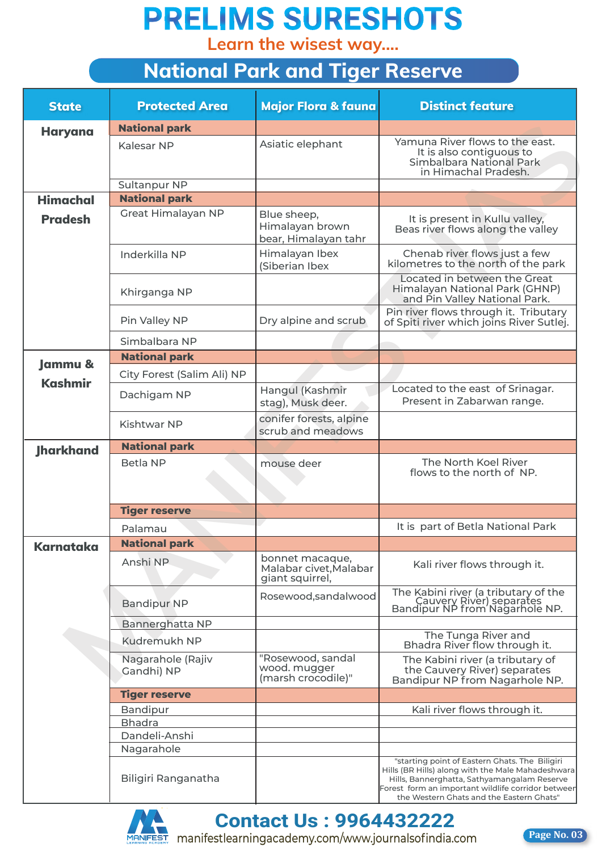**Learn the wisest way....**

#### **National Park and Tiger Reserve**

| <b>State</b>       | <b>Protected Area</b>           | Major Flora & fauna                                          | <b>Distinct feature</b>                                                                                                                                                                            |
|--------------------|---------------------------------|--------------------------------------------------------------|----------------------------------------------------------------------------------------------------------------------------------------------------------------------------------------------------|
| <b>Haryana</b>     | <b>National park</b>            |                                                              |                                                                                                                                                                                                    |
|                    | Kalesar NP                      | Asiatic elephant                                             | Yamuna River flows to the east.<br>It is also contiguous to<br>Simbalbara National Park<br>in Himachal Pradesh.                                                                                    |
|                    | Sultanpur NP                    |                                                              |                                                                                                                                                                                                    |
| <b>Himachal</b>    | <b>National park</b>            |                                                              |                                                                                                                                                                                                    |
| <b>Pradesh</b>     | Great Himalayan NP              | Blue sheep,<br>Himalayan brown<br>bear, Himalayan tahr       | It is present in Kullu valley,<br>Beas river flows along the valley                                                                                                                                |
|                    | Inderkilla NP                   | Himalayan Ibex<br>(Siberian Ibex                             | Chenab river flows just a few<br>kilometres to the north of the park                                                                                                                               |
|                    | Khirganga NP                    |                                                              | Located in between the Great<br>Himalayan National Park (GHNP)<br>and Pin Valley National Park.                                                                                                    |
|                    | Pin Valley NP                   | Dry alpine and scrub                                         | Pin river flows through it. Tributary<br>of Spiti river which joins River Sutlej.                                                                                                                  |
|                    | Simbalbara NP                   |                                                              |                                                                                                                                                                                                    |
| <b>Jammu &amp;</b> | <b>National park</b>            |                                                              |                                                                                                                                                                                                    |
|                    | City Forest (Salim Ali) NP      |                                                              |                                                                                                                                                                                                    |
| <b>Kashmir</b>     | Dachigam NP                     | Hangul (Kashmir<br>stag), Musk deer.                         | Located to the east of Srinagar.<br>Present in Zabarwan range.                                                                                                                                     |
|                    | Kishtwar NP                     | conifer forests, alpine<br>scrub and meadows                 |                                                                                                                                                                                                    |
| <b>Jharkhand</b>   | <b>National park</b>            |                                                              |                                                                                                                                                                                                    |
|                    | Betla NP                        | mouse deer                                                   | The North Koel River<br>flows to the north of NP.                                                                                                                                                  |
|                    | <b>Tiger reserve</b>            |                                                              |                                                                                                                                                                                                    |
|                    | Palamau                         |                                                              | It is part of Betla National Park                                                                                                                                                                  |
| <b>Karnataka</b>   | <b>National park</b>            |                                                              |                                                                                                                                                                                                    |
|                    | Anshi NP                        | bonnet macaque,<br>Malabar civet, Malabar<br>giant squirrel, | Kali river flows through it.                                                                                                                                                                       |
|                    | <b>Bandipur NP</b>              | Rosewood, sandal wood                                        | The Kabini river (a tributary of the<br>Cauvery River) separates<br>Bandipur NP from Nagarhole NP.                                                                                                 |
|                    | <b>Bannerghatta NP</b>          |                                                              |                                                                                                                                                                                                    |
|                    | Kudremukh NP                    |                                                              | The Tunga River and<br>Bhadra River flow through it.                                                                                                                                               |
|                    | Nagarahole (Rajiv<br>Gandhi) NP | "Rosewood, sandal<br>wood. mugger<br>(marsh crocodile)"      | The Kabini river (a tributary of<br>the Cauvery River) separates<br>Bandipur NP from Nagarhole NP.                                                                                                 |
|                    | <b>Tiger reserve</b>            |                                                              |                                                                                                                                                                                                    |
|                    | Bandipur                        |                                                              | Kali river flows through it.                                                                                                                                                                       |
|                    | <b>Bhadra</b>                   |                                                              |                                                                                                                                                                                                    |
|                    | Dandeli-Anshi                   |                                                              |                                                                                                                                                                                                    |
|                    | Nagarahole                      |                                                              | "starting point of Eastern Ghats. The Biligiri                                                                                                                                                     |
|                    | Biligiri Ranganatha             |                                                              | Hills (BR Hills) along with the Male Mahadeshwara<br>Hills, Bannerghatta, Sathyamangalam Reserve<br>Forest form an important wildlife corridor betweer<br>the Western Ghats and the Eastern Ghats" |



**Contact Us : 9964432222 Contact Us : 9964432222**

**Page No. 03**

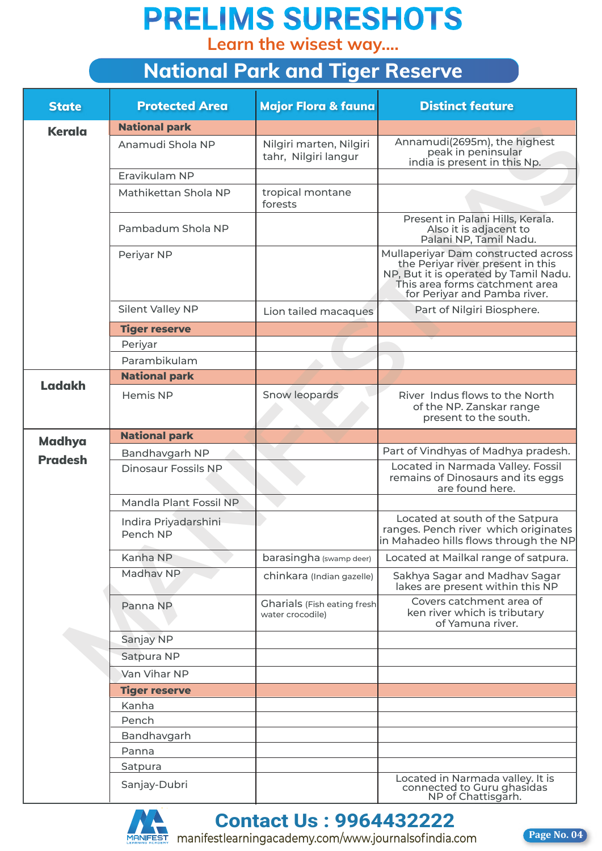**Learn the wisest way....**

|                |                                  | <b>National Park and Tiger Reserve</b>                 |                                                                                                                                                                                     |  |
|----------------|----------------------------------|--------------------------------------------------------|-------------------------------------------------------------------------------------------------------------------------------------------------------------------------------------|--|
| <b>State</b>   | <b>Protected Area</b>            | Major Flora & fauna                                    | <b>Distinct feature</b>                                                                                                                                                             |  |
| <b>Kerala</b>  | <b>National park</b>             |                                                        |                                                                                                                                                                                     |  |
|                | Anamudi Shola NP                 | Nilgiri marten, Nilgiri<br>tahr, Nilgiri langur        | Annamudi(2695m), the highest<br>peak in peninsular<br>india is present in this Np.                                                                                                  |  |
|                | Eravikulam NP                    |                                                        |                                                                                                                                                                                     |  |
|                | Mathikettan Shola NP             | tropical montane<br>forests                            |                                                                                                                                                                                     |  |
|                | Pambadum Shola NP                |                                                        | Present in Palani Hills, Kerala.<br>Also it is adjacent to<br>Palani NP, Tamil Nadu.                                                                                                |  |
|                | Periyar NP                       |                                                        | Mullaperiyar Dam constructed across<br>the Periyar river present in this<br>NP, But it is operated by Tamil Nadu.<br>This area forms catchment area<br>for Periyar and Pamba river. |  |
|                | Silent Valley NP                 | Lion tailed macaques                                   | Part of Nilgiri Biosphere.                                                                                                                                                          |  |
|                | <b>Tiger reserve</b>             |                                                        |                                                                                                                                                                                     |  |
|                | Periyar                          |                                                        |                                                                                                                                                                                     |  |
|                | Parambikulam                     |                                                        |                                                                                                                                                                                     |  |
| <b>Ladakh</b>  | <b>National park</b>             |                                                        |                                                                                                                                                                                     |  |
|                | Hemis NP                         | Snow leopards                                          | River Indus flows to the North<br>of the NP. Zanskar range<br>present to the south.                                                                                                 |  |
|                | <b>National park</b>             |                                                        |                                                                                                                                                                                     |  |
| <b>Madhya</b>  | Bandhavgarh NP                   |                                                        | Part of Vindhyas of Madhya pradesh.                                                                                                                                                 |  |
| <b>Pradesh</b> | <b>Dinosaur Fossils NP</b>       |                                                        | Located in Narmada Valley. Fossil<br>remains of Dinosaurs and its eggs<br>are found here.                                                                                           |  |
|                | Mandla Plant Fossil NP           |                                                        |                                                                                                                                                                                     |  |
|                | Indira Priyadarshini<br>Pench NP |                                                        | Located at south of the Satpura<br>ranges. Pench river which originates<br>in Mahadeo hills flows through the NP                                                                    |  |
|                | Kanha NP                         | barasingha (swamp deer)                                | Located at Mailkal range of satpura.                                                                                                                                                |  |
|                | Madhav NP                        | chinkara (Indian gazelle)                              | Sakhya Sagar and Madhav Sagar<br>lakes are present within this NP                                                                                                                   |  |
|                | Panna NP                         | <b>Gharials</b> (Fish eating fresh<br>water crocodile) | Covers catchment area of<br>ken river which is tributary<br>of Yamuna river.                                                                                                        |  |
|                | Sanjay NP                        |                                                        |                                                                                                                                                                                     |  |
|                | Satpura NP                       |                                                        |                                                                                                                                                                                     |  |
|                | Van Vihar NP                     |                                                        |                                                                                                                                                                                     |  |
|                | <b>Tiger reserve</b>             |                                                        |                                                                                                                                                                                     |  |
|                | Kanha                            |                                                        |                                                                                                                                                                                     |  |
|                | Pench                            |                                                        |                                                                                                                                                                                     |  |
|                | Bandhavgarh                      |                                                        |                                                                                                                                                                                     |  |
|                | Panna                            |                                                        |                                                                                                                                                                                     |  |
|                | Satpura                          |                                                        |                                                                                                                                                                                     |  |
|                | Sanjay-Dubri                     |                                                        | Located in Narmada valley. It is<br>connected to Guru ghasidas<br>NP of Chattisgarh.                                                                                                |  |



**Contact Us : 9964432222 Contact Us : 9964432222**

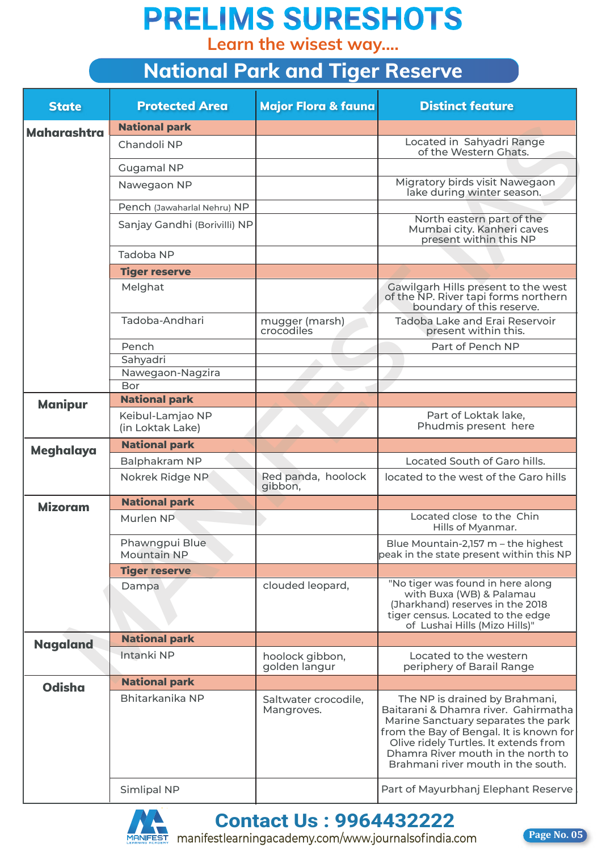**Learn the wisest way....**

| <b>National Park and Tiger Reserve</b> |                                      |                                    |                                                                                                                                                                                                                                                                               |
|----------------------------------------|--------------------------------------|------------------------------------|-------------------------------------------------------------------------------------------------------------------------------------------------------------------------------------------------------------------------------------------------------------------------------|
| <b>State</b>                           | <b>Protected Area</b>                | Major Flora & fauna                | <b>Distinct feature</b>                                                                                                                                                                                                                                                       |
| <b>Maharashtra</b>                     | <b>National park</b>                 |                                    |                                                                                                                                                                                                                                                                               |
|                                        | Chandoli NP                          |                                    | Located in Sahyadri Range<br>of the Western Ghats.                                                                                                                                                                                                                            |
|                                        | <b>Gugamal NP</b>                    |                                    |                                                                                                                                                                                                                                                                               |
|                                        | Nawegaon NP                          |                                    | Migratory birds visit Nawegaon<br>lake during winter season.                                                                                                                                                                                                                  |
|                                        | Pench (Jawaharlal Nehru) NP          |                                    |                                                                                                                                                                                                                                                                               |
|                                        | Sanjay Gandhi (Borivilli) NP         |                                    | North eastern part of the<br>Mumbai city. Kanheri caves<br>present within this NP                                                                                                                                                                                             |
|                                        | Tadoba NP                            |                                    |                                                                                                                                                                                                                                                                               |
|                                        | <b>Tiger reserve</b>                 |                                    |                                                                                                                                                                                                                                                                               |
|                                        | Melghat                              |                                    | Gawilgarh Hills present to the west<br>of the NP. River tapi forms northern<br>boundary of this reserve.                                                                                                                                                                      |
|                                        | Tadoba-Andhari                       | mugger (marsh)<br>crocodiles       | Tadoba Lake and Erai Reservoir<br>present within this.                                                                                                                                                                                                                        |
|                                        | Pench                                |                                    | Part of Pench NP                                                                                                                                                                                                                                                              |
|                                        | Sahyadri                             |                                    |                                                                                                                                                                                                                                                                               |
|                                        | Nawegaon-Nagzira<br>Bor              |                                    |                                                                                                                                                                                                                                                                               |
|                                        | <b>National park</b>                 |                                    |                                                                                                                                                                                                                                                                               |
| <b>Manipur</b>                         | Keibul-Lamjao NP<br>(in Loktak Lake) |                                    | Part of Loktak lake,<br>Phudmis present here                                                                                                                                                                                                                                  |
|                                        | <b>National park</b>                 |                                    |                                                                                                                                                                                                                                                                               |
| <b>Meghalaya</b>                       | Balphakram NP                        |                                    | Located South of Garo hills.                                                                                                                                                                                                                                                  |
|                                        | Nokrek Ridge NP                      | Red panda, hoolock<br>gibbon,      | located to the west of the Garo hills                                                                                                                                                                                                                                         |
| <b>Mizoram</b>                         | <b>National park</b>                 |                                    |                                                                                                                                                                                                                                                                               |
|                                        | Murlen NP                            |                                    | Located close to the Chin<br>Hills of Myanmar.                                                                                                                                                                                                                                |
|                                        | Phawngpui Blue<br><b>Mountain NP</b> |                                    | Blue Mountain-2,157 m - the highest<br>peak in the state present within this NP                                                                                                                                                                                               |
|                                        | <b>Tiger reserve</b>                 |                                    |                                                                                                                                                                                                                                                                               |
|                                        | Dampa                                | clouded leopard,                   | "No tiger was found in here along<br>with Buxa (WB) & Palamau<br>(Jharkhand) reserves in the 2018<br>tiger census. Located to the edge<br>of Lushai Hills (Mizo Hills)"                                                                                                       |
| <b>Nagaland</b>                        | <b>National park</b>                 |                                    |                                                                                                                                                                                                                                                                               |
|                                        | Intanki NP                           | hoolock gibbon,<br>golden langur   | Located to the western<br>periphery of Barail Range                                                                                                                                                                                                                           |
| <b>Odisha</b>                          | <b>National park</b>                 |                                    |                                                                                                                                                                                                                                                                               |
|                                        | Bhitarkanika NP                      | Saltwater crocodile,<br>Mangroves. | The NP is drained by Brahmani,<br>Baitarani & Dhamra river. Gahirmatha<br>Marine Sanctuary separates the park<br>from the Bay of Bengal. It is known for<br>Olive ridely Turtles. It extends from<br>Dhamra River mouth in the north to<br>Brahmani river mouth in the south. |
|                                        | <b>Simlipal NP</b>                   |                                    | Part of Mayurbhanj Elephant Reserve                                                                                                                                                                                                                                           |



**Contact Us : 9964432222 Contact Us : 9964432222**



**Page No. 05**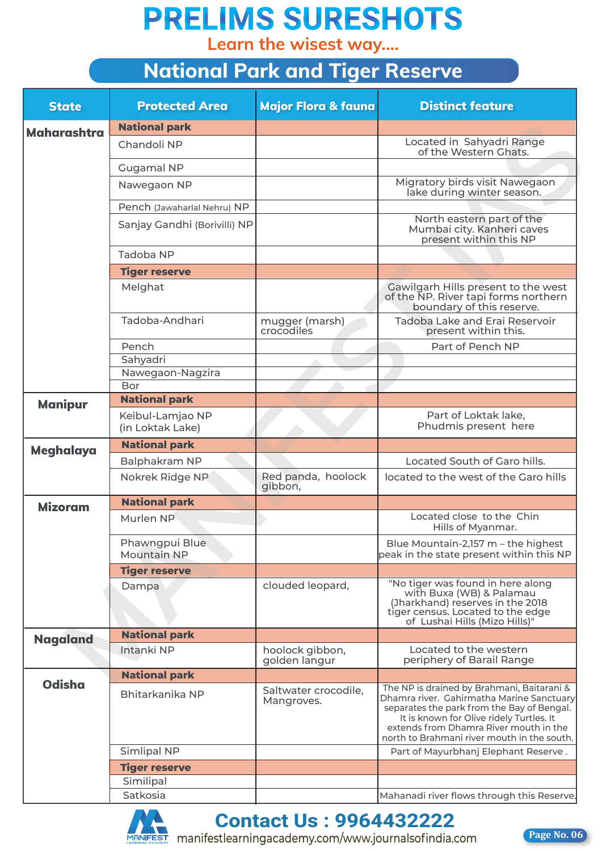**Learn the wisest way....**

|                    | <b>National Park and Tiger Reserve</b> |                                    |                                                                                                                                                                                                                                                                            |  |  |
|--------------------|----------------------------------------|------------------------------------|----------------------------------------------------------------------------------------------------------------------------------------------------------------------------------------------------------------------------------------------------------------------------|--|--|
| <b>State</b>       | <b>Protected Area</b>                  | Major Flora & fauna                | <b>Distinct feature</b>                                                                                                                                                                                                                                                    |  |  |
| <b>Maharashtra</b> | <b>National park</b>                   |                                    |                                                                                                                                                                                                                                                                            |  |  |
|                    | Chandoli NP                            |                                    | Located in Sahyadri Range<br>of the Western Ghats.                                                                                                                                                                                                                         |  |  |
|                    | <b>Gugamal NP</b>                      |                                    |                                                                                                                                                                                                                                                                            |  |  |
|                    | Nawegaon NP                            |                                    | Migratory birds visit Nawegaon<br>lake during winter season.                                                                                                                                                                                                               |  |  |
|                    | Pench (Jawaharlal Nehru) NP            |                                    |                                                                                                                                                                                                                                                                            |  |  |
|                    | Sanjay Gandhi (Borivilli) NP           |                                    | North eastern part of the<br>Mumbai city. Kanheri caves<br>present within this NP                                                                                                                                                                                          |  |  |
|                    | Tadoba NP                              |                                    |                                                                                                                                                                                                                                                                            |  |  |
|                    | <b>Tiger reserve</b>                   |                                    |                                                                                                                                                                                                                                                                            |  |  |
|                    | Melghat                                |                                    | Gawilgarh Hills present to the west<br>of the NP. River tapi forms northern<br>boundary of this reserve.                                                                                                                                                                   |  |  |
|                    | Tadoba-Andhari                         | mugger (marsh)<br>crocodiles       | Tadoba Lake and Erai Reservoir<br>present within this.                                                                                                                                                                                                                     |  |  |
|                    | Pench                                  |                                    | Part of Pench NP                                                                                                                                                                                                                                                           |  |  |
|                    | Sahyadri                               |                                    |                                                                                                                                                                                                                                                                            |  |  |
|                    | Nawegaon-Nagzira<br>Bor                |                                    |                                                                                                                                                                                                                                                                            |  |  |
|                    | <b>National park</b>                   |                                    |                                                                                                                                                                                                                                                                            |  |  |
| <b>Manipur</b>     | Keibul-Lamjao NP<br>(in Loktak Lake)   |                                    | Part of Loktak lake,<br>Phudmis present here                                                                                                                                                                                                                               |  |  |
|                    | <b>National park</b>                   |                                    |                                                                                                                                                                                                                                                                            |  |  |
| <b>Meghalaya</b>   | Balphakram NP                          |                                    | Located South of Garo hills.                                                                                                                                                                                                                                               |  |  |
|                    | Nokrek Ridge NP                        | Red panda, hoolock<br>gibbon,      | located to the west of the Garo hills                                                                                                                                                                                                                                      |  |  |
| <b>Mizoram</b>     | <b>National park</b>                   |                                    |                                                                                                                                                                                                                                                                            |  |  |
|                    | Murlen NP                              |                                    | Located close to the Chin<br>Hills of Myanmar.                                                                                                                                                                                                                             |  |  |
|                    | Phawngpui Blue<br><b>Mountain NP</b>   |                                    | Blue Mountain-2,157 m - the highest<br>peak in the state present within this NP                                                                                                                                                                                            |  |  |
|                    | <b>Tiger reserve</b>                   |                                    |                                                                                                                                                                                                                                                                            |  |  |
|                    | Dampa                                  | clouded leopard,                   | "No tiger was found in here along<br>with Buxa (WB) & Palamau<br>(Jharkhand) reserves in the 2018<br>tiger census. Located to the edge<br>of Lushai Hills (Mizo Hills)"                                                                                                    |  |  |
| <b>Nagaland</b>    | <b>National park</b>                   |                                    |                                                                                                                                                                                                                                                                            |  |  |
|                    | Intanki NP                             | hoolock gibbon,<br>golden langur   | Located to the western<br>periphery of Barail Range                                                                                                                                                                                                                        |  |  |
| <b>Odisha</b>      | <b>National park</b>                   |                                    |                                                                                                                                                                                                                                                                            |  |  |
|                    | Bhitarkanika NP                        | Saltwater crocodile,<br>Mangroves. | The NP is drained by Brahmani, Baitarani &<br>Dhamra river. Gahirmatha Marine Sanctuary<br>separates the park from the Bay of Bengal.<br>It is known for Olive ridely Turtles. It<br>extends from Dhamra River mouth in the<br>north to Brahmani river mouth in the south. |  |  |
|                    | <b>Simlipal NP</b>                     |                                    | Part of Mayurbhanj Elephant Reserve.                                                                                                                                                                                                                                       |  |  |
|                    | <b>Tiger reserve</b>                   |                                    |                                                                                                                                                                                                                                                                            |  |  |
|                    | Similipal                              |                                    |                                                                                                                                                                                                                                                                            |  |  |
|                    | Satkosia                               |                                    | Mahanadi river flows through this Reserve.                                                                                                                                                                                                                                 |  |  |



#### **Contact Us : 9964432222 Contact Us : 9964432222**

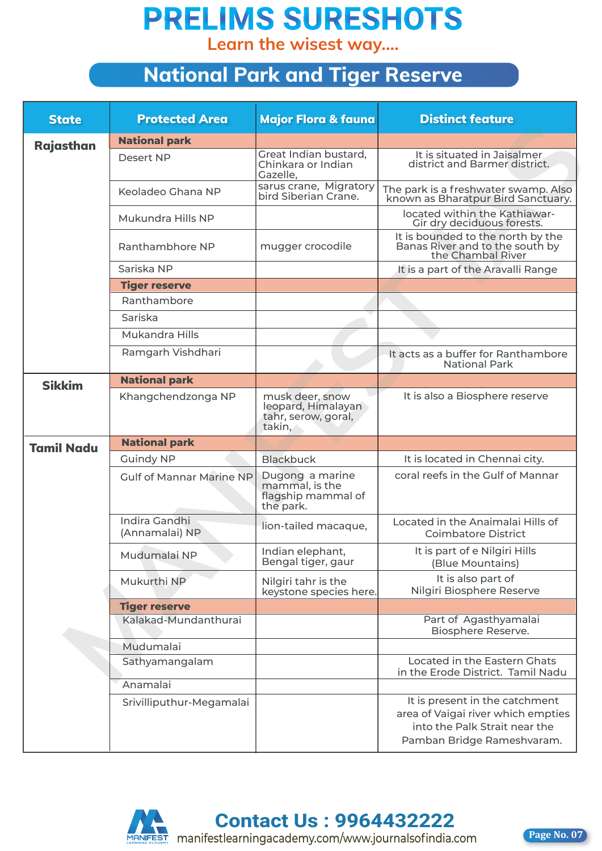**Learn the wisest way....**

#### **National Park and Tiger Reserve**

| <b>State</b>      | <b>Protected Area</b>                  | Major Flora & fauna                                                    | <b>Distinct feature</b>                                                                   |
|-------------------|----------------------------------------|------------------------------------------------------------------------|-------------------------------------------------------------------------------------------|
| Rajasthan         | <b>National park</b>                   |                                                                        |                                                                                           |
|                   | Desert NP                              | Great Indian bustard,<br>Chinkara or Indian<br>Gazelle,                | It is situated in Jaisalmer<br>district and Barmer district.                              |
|                   | Keoladeo Ghana NP                      | sarus crane, Migratory<br>bird Siberian Crane.                         | The park is a freshwater swamp. Also<br>known as Bharatpur Bird Sanctuary.                |
|                   | Mukundra Hills NP                      |                                                                        | located within the Kathiawar-<br>Gir dry deciduous forests.                               |
|                   | Ranthambhore NP                        | mugger crocodile                                                       | It is bounded to the north by the<br>Banas River and to the south by<br>the Chambal River |
|                   | Sariska NP                             |                                                                        | It is a part of the Aravalli Range                                                        |
|                   | <b>Tiger reserve</b>                   |                                                                        |                                                                                           |
|                   | Ranthambore                            |                                                                        |                                                                                           |
|                   | Sariska                                |                                                                        |                                                                                           |
|                   | Mukandra Hills                         |                                                                        |                                                                                           |
|                   | Ramgarh Vishdhari                      |                                                                        | It acts as a buffer for Ranthambore<br><b>National Park</b>                               |
| <b>Sikkim</b>     | <b>National park</b>                   |                                                                        |                                                                                           |
|                   | Khangchendzonga NP                     | musk deer, snow<br>leopard, Himalayan<br>tahr, serow, goral,<br>takin, | It is also a Biosphere reserve                                                            |
| <b>Tamil Nadu</b> | <b>National park</b>                   |                                                                        |                                                                                           |
|                   | <b>Guindy NP</b>                       | <b>Blackbuck</b>                                                       | It is located in Chennai city.                                                            |
|                   | Gulf of Mannar Marine NP               | Dugong a marine<br>mammal, is the<br>flagship mammal of<br>the park.   | coral reefs in the Gulf of Mannar                                                         |
|                   | <b>Indira Gandhi</b><br>(Annamalai) NP | lion-tailed macaque,                                                   | Located in the Anaimalai Hills of<br><b>Coimbatore District</b>                           |
|                   | Mudumalai NP                           | Indian elephant,<br>Bengal tiger, gaur                                 | It is part of e Nilgiri Hills<br>(Blue Mountains)                                         |
|                   | Mukurthi NP                            | Nilgiri tahr is the<br>keystone species here.                          | It is also part of<br>Nilgiri Biosphere Reserve                                           |
|                   | <b>Tiger reserve</b>                   |                                                                        |                                                                                           |
|                   | Kalakad-Mundanthurai                   |                                                                        | Part of Agasthyamalai<br>Biosphere Reserve.                                               |
|                   | Mudumalai                              |                                                                        |                                                                                           |
|                   | Sathyamangalam                         |                                                                        | Located in the Eastern Ghats<br>in the Erode District. Tamil Nadu                         |
|                   | Anamalai                               |                                                                        |                                                                                           |
|                   | Srivilliputhur-Megamalai               |                                                                        | It is present in the catchment<br>area of Vaigai river which empties                      |



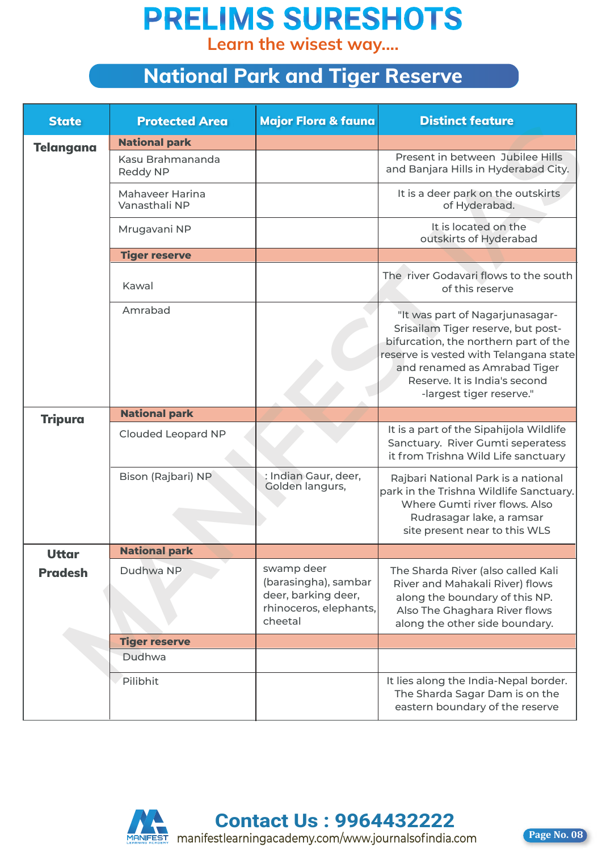**Learn the wisest way....**

#### **National Park and Tiger Reserve**

| <b>State</b>     | <b>Protected Area</b>            | Major Flora & fauna                                                                            | <b>Distinct feature</b>                                                                                                                                                                                                                               |
|------------------|----------------------------------|------------------------------------------------------------------------------------------------|-------------------------------------------------------------------------------------------------------------------------------------------------------------------------------------------------------------------------------------------------------|
| <b>Telangana</b> | <b>National park</b>             |                                                                                                |                                                                                                                                                                                                                                                       |
|                  | Kasu Brahmananda<br>Reddy NP     |                                                                                                | Present in between Jubilee Hills<br>and Banjara Hills in Hyderabad City.                                                                                                                                                                              |
|                  | Mahaveer Harina<br>Vanasthali NP |                                                                                                | It is a deer park on the outskirts<br>of Hyderabad.                                                                                                                                                                                                   |
|                  | Mrugavani NP                     |                                                                                                | It is located on the<br>outskirts of Hyderabad                                                                                                                                                                                                        |
|                  | <b>Tiger reserve</b>             |                                                                                                |                                                                                                                                                                                                                                                       |
|                  | Kawal                            |                                                                                                | The river Godavari flows to the south<br>of this reserve                                                                                                                                                                                              |
|                  | Amrabad                          |                                                                                                | "It was part of Nagarjunasagar-<br>Srisailam Tiger reserve, but post-<br>bifurcation, the northern part of the<br>reserve is vested with Telangana state<br>and renamed as Amrabad Tiger<br>Reserve. It is India's second<br>-largest tiger reserve." |
| <b>Tripura</b>   | <b>National park</b>             |                                                                                                |                                                                                                                                                                                                                                                       |
|                  | Clouded Leopard NP               |                                                                                                | It is a part of the Sipahijola Wildlife<br>Sanctuary. River Gumti seperatess<br>it from Trishna Wild Life sanctuary                                                                                                                                   |
|                  | Bison (Rajbari) NP               | : Indian Gaur, deer,<br>Golden langurs,                                                        | Rajbari National Park is a national<br>park in the Trishna Wildlife Sanctuary.<br>Where Gumti river flows. Also<br>Rudrasagar lake, a ramsar<br>site present near to this WLS                                                                         |
| <b>Uttar</b>     | <b>National park</b>             |                                                                                                |                                                                                                                                                                                                                                                       |
| <b>Pradesh</b>   | Dudhwa NP                        | swamp deer<br>(barasingha), sambar<br>deer, barking deer,<br>rhinoceros, elephants,<br>cheetal | The Sharda River (also called Kali<br>River and Mahakali River) flows<br>along the boundary of this NP.<br>Also The Ghaghara River flows<br>along the other side boundary.                                                                            |
|                  | <b>Tiger reserve</b>             |                                                                                                |                                                                                                                                                                                                                                                       |
|                  | Dudhwa                           |                                                                                                |                                                                                                                                                                                                                                                       |
|                  | Pilibhit                         |                                                                                                | It lies along the India-Nepal border.<br>The Sharda Sagar Dam is on the<br>eastern boundary of the reserve                                                                                                                                            |